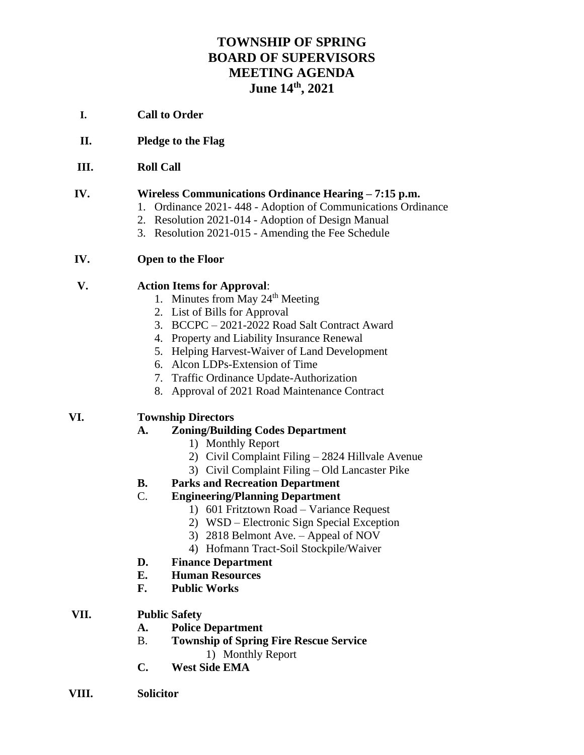# **TOWNSHIP OF SPRING BOARD OF SUPERVISORS MEETING AGENDA June 14th, 2021**

- **I. Call to Order**
- **II. Pledge to the Flag**
- **III. Roll Call**

#### **IV. Wireless Communications Ordinance Hearing – 7:15 p.m.**

- 1. Ordinance 2021- 448 Adoption of Communications Ordinance
- 2. Resolution 2021-014 Adoption of Design Manual
- 3. Resolution 2021-015 Amending the Fee Schedule

#### **IV. Open to the Floor**

#### **V. Action Items for Approval**:

- 1. Minutes from May  $24<sup>th</sup>$  Meeting
- 2. List of Bills for Approval
- 3. BCCPC 2021-2022 Road Salt Contract Award
- 4. Property and Liability Insurance Renewal
- 5. Helping Harvest-Waiver of Land Development
- 6. Alcon LDPs-Extension of Time
- 7. Traffic Ordinance Update-Authorization
- 8. Approval of 2021 Road Maintenance Contract

## **VI. Township Directors**

## **A. Zoning/Building Codes Department**

- 1) Monthly Report
- 2) Civil Complaint Filing 2824 Hillvale Avenue
- 3) Civil Complaint Filing Old Lancaster Pike
- **B. Parks and Recreation Department**

### C. **Engineering/Planning Department**

- 1) 601 Fritztown Road Variance Request
- 2) WSD Electronic Sign Special Exception
- 3) 2818 Belmont Ave. Appeal of NOV
- 4) Hofmann Tract-Soil Stockpile/Waiver
- **D. Finance Department**
- **E. Human Resources**
- **F. Public Works**
- **VII. Public Safety**
	- **A. Police Department**
	- B. **Township of Spring Fire Rescue Service** 1) Monthly Report
	- **C. West Side EMA**
- **VIII. Solicitor**